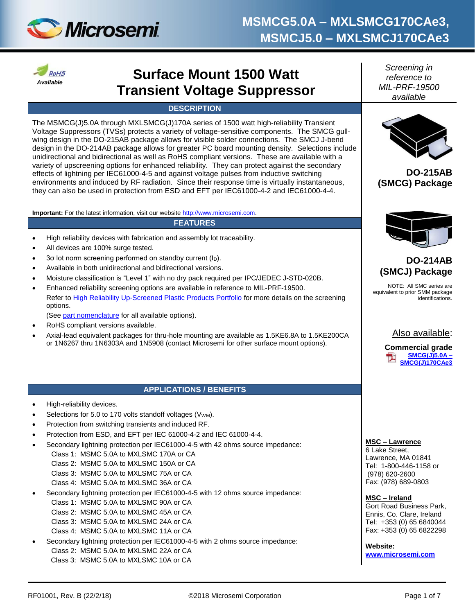



# **Surface Mount 1500 Watt Transient Voltage Suppressor**

#### **DESCRIPTION**

The MSMCG(J)5.0A through MXLSMCG(J)170A series of 1500 watt high-reliability Transient Voltage Suppressors (TVSs) protects a variety of voltage-sensitive components. The SMCG gullwing design in the DO-215AB package allows for visible solder connections. The SMCJ J-bend design in the DO-214AB package allows for greater PC board mounting density. Selections include unidirectional and bidirectional as well as RoHS compliant versions. These are available with a variety of upscreening options for enhanced reliability. They can protect against the secondary effects of lightning per IEC61000-4-5 and against voltage pulses from inductive switching environments and induced by RF radiation. Since their response time is virtually instantaneous, they can also be used in protection from ESD and EFT per IEC61000-4-2 and IEC61000-4-4.

**Important:** For the latest information, visit our websit[e http://www.microsemi.com.](http://www.microsemi.com/)

### **FEATURES**

- High reliability devices with fabrication and assembly lot traceability.
- All devices are 100% surge tested.
- 3σ lot norm screening performed on standby current (ID).
- Available in both unidirectional and bidirectional versions.
- Moisture classification is "Level 1" with no dry pack required per IPC/JEDEC J-STD-020B.
- Enhanced reliability screening options are available in reference to MIL-PRF-19500. Refer to [High Reliability Up-Screened Plastic Products Portfolio](http://www.microsemi.com/document-portal/doc_download/123812-high-reliability-up-screened-plastic-products-portfolio) for more details on the screening options.

(See [part nomenclature](#page-1-0) for all available options).

- RoHS compliant versions available.
- Axial-lead equivalent packages for thru-hole mounting are available as 1.5KE6.8A to 1.5KE200CA or 1N6267 thru 1N6303A and 1N5908 (contact Microsemi for other surface mount options).

#### **APPLICATIONS / BENEFITS**

- High-reliability devices.
- Selections for 5.0 to 170 volts standoff voltages (V<sub>WM</sub>).
- Protection from switching transients and induced RF.
- Protection from ESD, and EFT per IEC 61000-4-2 and IEC 61000-4-4.
- Secondary lightning protection per IEC61000-4-5 with 42 ohms source impedance:
	- Class 1: MSMC 5.0A to MXLSMC 170A or CA
	- Class 2: MSMC 5.0A to MXLSMC 150A or CA
	- Class 3: MSMC 5.0A to MXLSMC 75A or CA
	- Class 4: MSMC 5.0A to MXLSMC 36A or CA
- Secondary lightning protection per IEC61000-4-5 with 12 ohms source impedance:
	- Class 1: MSMC 5.0A to MXLSMC 90A or CA
	- Class 2: MSMC 5.0A to MXLSMC 45A or CA
	- Class 3: MSMC 5.0A to MXLSMC 24A or CA
	- Class 4: MSMC 5.0A to MXLSMC 11A or CA
- Secondary lightning protection per IEC61000-4-5 with 2 ohms source impedance: Class 2: MSMC 5.0A to MXLSMC 22A or CA Class 3: MSMC 5.0A to MXLSMC 10A or CA

*Screening in reference to MIL-PRF-19500 available*



**DO-215AB (SMCG) Package**



### **DO-214AB (SMCJ) Package**

NOTE: All SMC series are equivalent to prior SMM package identifications.



**Commercial grade [SMCG\(J\)5.0A](http://www.microsemi.com/en/products/product-directory/340928) – [SMCG\(J\)170CAe3](http://www.microsemi.com/en/products/product-directory/340928)**

**MSC – Lawrence** 

6 Lake Street, Lawrence, MA 01841 Tel: 1-800-446-1158 or (978) 620-2600 Fax: (978) 689-0803

**MSC – Ireland**  Gort Road Business Park, Ennis, Co. Clare, Ireland Tel: +353 (0) 65 6840044 Fax: +353 (0) 65 6822298

**Website: [www.microsemi.com](http://www.microsemi.com/)**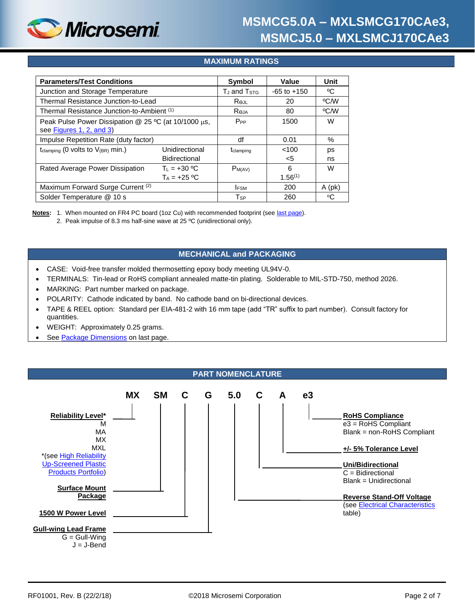

### **MAXIMUM RATINGS**

| <b>Parameters/Test Conditions</b>                                                | Symbol                              | Value           | Unit              |          |
|----------------------------------------------------------------------------------|-------------------------------------|-----------------|-------------------|----------|
| Junction and Storage Temperature                                                 | T <sub>J</sub> and T <sub>STG</sub> | $-65$ to $+150$ | °C                |          |
| Thermal Resistance Junction-to-Lead                                              | Rejl                                | 20              | °C/W              |          |
| Thermal Resistance Junction-to-Ambient (1)                                       | Reja                                | 80              | °C/W              |          |
| Peak Pulse Power Dissipation @ 25 °C (at 10/1000 µs,<br>see Figures 1, 2, and 3) | $P_{PP}$                            | 1500            | W                 |          |
| Impulse Repetition Rate (duty factor)                                            | df                                  | 0.01            | %                 |          |
| t <sub>clamping</sub> (0 volts to $V_{(BR)}$ min.)                               | Unidirectional<br>Bidirectional     | tclamping       | < 100<br>$<$ 5    | ps<br>ns |
| Rated Average Power Dissipation                                                  | $T_1 = +30 °C$<br>$T_A = +25 °C$    | $P_{M(AV)}$     | 6<br>$1.56^{(1)}$ | W        |
| Maximum Forward Surge Current (2)                                                |                                     | <b>IFSM</b>     | 200               | $A$ (pk) |
| Solder Temperature @ 10 s                                                        |                                     | T <sub>SP</sub> | 260               | °C       |

**Notes:** 1. When mounted on FR4 PC board (1oz Cu) with recommended footprint (see [last page\)](#page-6-0).

2. Peak impulse of 8.3 ms half-sine wave at 25 ºC (unidirectional only).

#### **MECHANICAL and PACKAGING**

- CASE: Void-free transfer molded thermosetting epoxy body meeting UL94V-0.
- TERMINALS: Tin-lead or RoHS compliant annealed matte-tin plating. Solderable to MIL-STD-750, method 2026.
- MARKING: Part number marked on package.
- POLARITY: Cathode indicated by band. No cathode band on bi-directional devices.
- TAPE & REEL option: Standard per EIA-481-2 with 16 mm tape (add "TR" suffix to part number). Consult factory for quantities.
- WEIGHT: Approximately 0.25 grams.
- See [Package Dimensions](#page-5-0) on last page.

#### **PART NOMENCLATURE**

<span id="page-1-0"></span>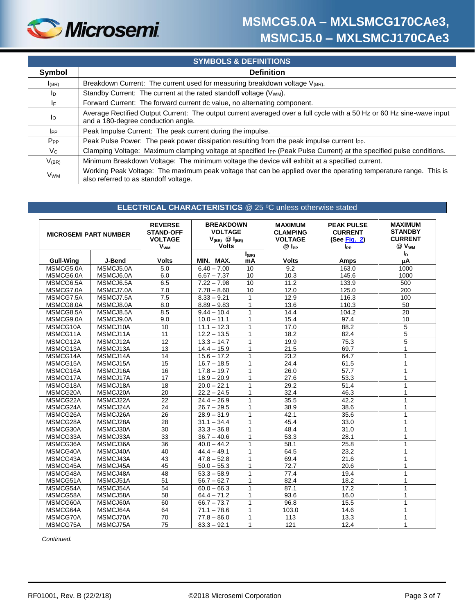

| <b>SYMBOLS &amp; DEFINITIONS</b> |                                                                                                                                                             |  |  |  |
|----------------------------------|-------------------------------------------------------------------------------------------------------------------------------------------------------------|--|--|--|
| Symbol                           | <b>Definition</b>                                                                                                                                           |  |  |  |
| I(BR)                            | Breakdown Current: The current used for measuring breakdown voltage V(BR).                                                                                  |  |  |  |
| ID                               | Standby Current: The current at the rated standoff voltage (Vwm).                                                                                           |  |  |  |
| IF.                              | Forward Current: The forward current dc value, no alternating component.                                                                                    |  |  |  |
| Ιo                               | Average Rectified Output Current: The output current averaged over a full cycle with a 50 Hz or 60 Hz sine-wave input<br>and a 180-degree conduction angle. |  |  |  |
| <b>I</b> PP                      | Peak Impulse Current: The peak current during the impulse.                                                                                                  |  |  |  |
| $P_{PP}$                         | Peak Pulse Power: The peak power dissipation resulting from the peak impulse current l <sub>PP</sub> .                                                      |  |  |  |
| Vc                               | Clamping Voltage: Maximum clamping voltage at specified IPP (Peak Pulse Current) at the specified pulse conditions.                                         |  |  |  |
| $V_{(BR)}$                       | Minimum Breakdown Voltage: The minimum voltage the device will exhibit at a specified current.                                                              |  |  |  |
| <b>V<sub>WM</sub></b>            | Working Peak Voltage: The maximum peak voltage that can be applied over the operating temperature range. This is<br>also referred to as standoff voltage.   |  |  |  |

#### **ELECTRICAL CHARACTERISTICS** @ 25 ºC unless otherwise stated

<span id="page-2-0"></span>

| <b>MICROSEMI PART NUMBER</b> |           | <b>REVERSE</b><br><b>STAND-OFF</b><br><b>VOLTAGE</b><br><b>V<sub>WM</sub></b> | <b>BREAKDOWN</b><br><b>VOLTAGE</b><br>$V_{(BR)}$ $\circledR$ $I_{(BR)}$<br><b>Volts</b> |              | <b>MAXIMUM</b><br><b>CLAMPING</b><br><b>VOLTAGE</b><br>$@$ $I_{PP}$ | <b>PEAK PULSE</b><br><b>CURRENT</b><br>(See Fig. $2)$<br><b>I</b> PP | <b>MAXIMUM</b><br><b>STANDBY</b><br><b>CURRENT</b><br>@ V <sub>WM</sub> |
|------------------------------|-----------|-------------------------------------------------------------------------------|-----------------------------------------------------------------------------------------|--------------|---------------------------------------------------------------------|----------------------------------------------------------------------|-------------------------------------------------------------------------|
|                              |           |                                                                               |                                                                                         | $I_{(BR)}$   |                                                                     |                                                                      | $I_D$                                                                   |
| <b>Gull-Wing</b>             | J-Bend    | <b>Volts</b>                                                                  | MIN. MAX.                                                                               | mA           | <b>Volts</b>                                                        | <b>Amps</b>                                                          | μA                                                                      |
| MSMCG5.0A                    | MSMCJ5.0A | 5.0                                                                           | $6.40 - 7.00$                                                                           | 10           | 9.2                                                                 | 163.0                                                                | 1000                                                                    |
| MSMCG6.0A                    | MSMCJ6.0A | 6.0                                                                           | $6.67 - 7.37$                                                                           | 10           | 10.3                                                                | 145.6                                                                | 1000                                                                    |
| MSMCG6.5A                    | MSMCJ6.5A | 6.5                                                                           | $7.22 - 7.98$                                                                           | 10           | 11.2                                                                | 133.9                                                                | 500                                                                     |
| MSMCG7.0A                    | MSMCJ7.0A | 7.0                                                                           | $7.78 - 8.60$                                                                           | 10           | 12.0                                                                | 125.0                                                                | 200                                                                     |
| MSMCG7.5A                    | MSMCJ7.5A | 7.5                                                                           | $8.33 - 9.21$                                                                           | $\mathbf{1}$ | 12.9                                                                | 116.3                                                                | 100                                                                     |
| MSMCG8.0A                    | MSMCJ8.0A | 8.0                                                                           | $8.89 - 9.83$                                                                           | 1            | 13.6                                                                | 110.3                                                                | 50                                                                      |
| MSMCG8.5A                    | MSMCJ8.5A | 8.5                                                                           | $9.44 - 10.4$                                                                           | $\mathbf{1}$ | 14.4                                                                | 104.2                                                                | 20                                                                      |
| MSMCG9.0A                    | MSMCJ9.0A | 9.0                                                                           | $10.0 - 11.1$                                                                           | $\mathbf{1}$ | 15.4                                                                | 97.4                                                                 | 10                                                                      |
| MSMCG10A                     | MSMCJ10A  | $\overline{10}$                                                               | $11.1 - 12.3$                                                                           | $\mathbf{1}$ | 17.0                                                                | 88.2                                                                 | $\overline{5}$                                                          |
| MSMCG11A                     | MSMCJ11A  | 11                                                                            | $12.2 - 13.5$                                                                           | 1            | 18.2                                                                | 82.4                                                                 | 5                                                                       |
| MSMCG12A                     | MSMCJ12A  | $\overline{12}$                                                               | $13.3 - 14.7$                                                                           | $\mathbf{1}$ | 19.9                                                                | 75.3                                                                 | 5                                                                       |
| MSMCG13A                     | MSMCJ13A  | 13                                                                            | $14.4 - 15.9$                                                                           | $\mathbf{1}$ | 21.5                                                                | 69.7                                                                 | 1                                                                       |
| MSMCG14A                     | MSMCJ14A  | 14                                                                            | $15.6 - 17.2$                                                                           | $\mathbf{1}$ | 23.2                                                                | 64.7                                                                 | 1                                                                       |
| MSMCG15A                     | MSMCJ15A  | 15                                                                            | $16.7 - 18.5$                                                                           | $\mathbf{1}$ | 24.4                                                                | 61.5                                                                 |                                                                         |
| MSMCG16A                     | MSMCJ16A  | 16                                                                            | $17.8 - 19.7$                                                                           | 1            | 26.0                                                                | 57.7                                                                 |                                                                         |
| MSMCG17A                     | MSMCJ17A  | 17                                                                            | $18.9 - 20.9$                                                                           | 1            | 27.6                                                                | 53.3                                                                 |                                                                         |
| MSMCG18A                     | MSMCJ18A  | $\overline{18}$                                                               | $20.0 - 22.1$                                                                           | $\mathbf{1}$ | 29.2                                                                | 51.4                                                                 | 1                                                                       |
| MSMCG20A                     | MSMCJ20A  | 20                                                                            | $22.2 - 24.5$                                                                           | 1            | 32.4                                                                | 46.3                                                                 |                                                                         |
| MSMCG22A                     | MSMCJ22A  | $\overline{22}$                                                               | $24.4 - 26.9$                                                                           | $\mathbf{1}$ | 35.5                                                                | 42.2                                                                 |                                                                         |
| MSMCG24A                     | MSMCJ24A  | 24                                                                            | $26.7 - 29.5$                                                                           | 1            | 38.9                                                                | 38.6                                                                 |                                                                         |
| MSMCG26A                     | MSMCJ26A  | 26                                                                            | $28.9 - 31.9$                                                                           | $\mathbf{1}$ | 42.1                                                                | 35.6                                                                 |                                                                         |
| MSMCG28A                     | MSMCJ28A  | 28                                                                            | $31.1 - 34.4$                                                                           | 1            | 45.4                                                                | 33.0                                                                 |                                                                         |
| MSMCG30A                     | MSMCJ30A  | 30                                                                            | $33.3 - 36.8$                                                                           | 1            | 48.4                                                                | 31.0                                                                 |                                                                         |
| MSMCG33A                     | MSMCJ33A  | 33                                                                            | $36.7 - 40.6$                                                                           | 1            | 53.3                                                                | 28.1                                                                 |                                                                         |
| MSMCG36A                     | MSMCJ36A  | $\overline{36}$                                                               | $40.0 - 44.2$                                                                           | $\mathbf{1}$ | 58.1                                                                | 25.8                                                                 |                                                                         |
| MSMCG40A                     | MSMCJ40A  | 40                                                                            | $44.4 - 49.1$                                                                           | 1            | 64.5                                                                | 23.2                                                                 |                                                                         |
| MSMCG43A                     | MSMCJ43A  | 43                                                                            | $47.8 - 52.8$                                                                           | $\mathbf{1}$ | 69.4                                                                | 21.6                                                                 | 1                                                                       |
| MSMCG45A                     | MSMCJ45A  | 45                                                                            | $50.0 - 55.3$                                                                           | 1            | 72.7                                                                | 20.6                                                                 |                                                                         |
| MSMCG48A                     | MSMCJ48A  | 48                                                                            | $53.3 - 58.9$                                                                           | $\mathbf{1}$ | 77.4                                                                | 19.4                                                                 | 1                                                                       |
| MSMCG51A                     | MSMCJ51A  | 51                                                                            | $56.7 - 62.7$                                                                           | $\mathbf{1}$ | 82.4                                                                | 18.2                                                                 | 1                                                                       |
| MSMCG54A                     | MSMCJ54A  | 54                                                                            | $60.0 - 66.3$                                                                           | $\mathbf{1}$ | 87.1                                                                | 17.2                                                                 | 1                                                                       |
| MSMCG58A                     | MSMCJ58A  | 58                                                                            | $64.4 - 71.2$                                                                           | 1            | 93.6                                                                | 16.0                                                                 | 1                                                                       |
| MSMCG60A                     | MSMCJ60A  | 60                                                                            | $66.7 - 73.7$                                                                           | $\mathbf{1}$ | 96.8                                                                | 15.5                                                                 | 1                                                                       |
| MSMCG64A                     | MSMCJ64A  | 64                                                                            | $71.1 - 78.6$                                                                           | 1            | 103.0                                                               | 14.6                                                                 | 1                                                                       |
| MSMCG70A                     | MSMCJ70A  | 70                                                                            | $77.8 - 86.0$                                                                           | 1            | 113                                                                 | 13.3                                                                 |                                                                         |
| MSMCG75A                     | MSMCJ75A  | 75                                                                            | $83.3 - 92.1$                                                                           | $\mathbf{1}$ | 121                                                                 | 12.4                                                                 | 1                                                                       |

*Continued.*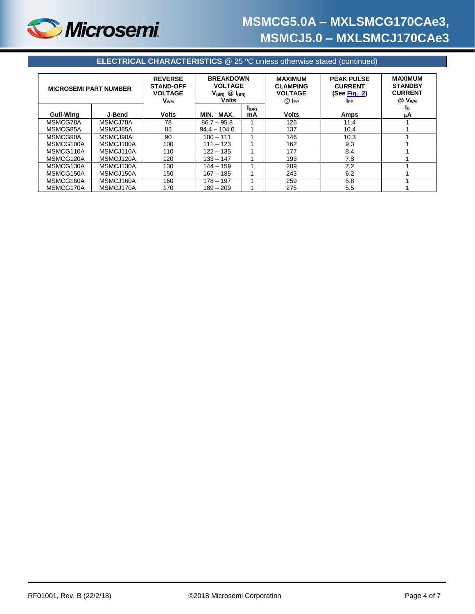

| <b>MICROSEMI PART NUMBER</b> |           | <b>REVERSE</b><br><b>STAND-OFF</b><br><b>VOLTAGE</b><br><b>V<sub>wm</sub></b> | <b>BREAKDOWN</b><br><b>VOLTAGE</b><br>$V_{(BR)}$ $\oslash$ $I_{(BR)}$<br><b>Volts</b> |            | <b>PEAK PULSE</b><br><b>MAXIMUM</b><br><b>CLAMPING</b><br><b>CURRENT</b><br><b>VOLTAGE</b><br>(See Fig. $2)$<br>$@$ $I_{PP}$<br><b>I</b> <sub>PP</sub> |      | <b>MAXIMUM</b><br><b>STANDBY</b><br><b>CURRENT</b><br>$@V_{WM}$ |
|------------------------------|-----------|-------------------------------------------------------------------------------|---------------------------------------------------------------------------------------|------------|--------------------------------------------------------------------------------------------------------------------------------------------------------|------|-----------------------------------------------------------------|
|                              |           |                                                                               |                                                                                       | $I_{(BR)}$ |                                                                                                                                                        |      | In                                                              |
| <b>Gull-Wing</b>             | J-Bend    | <b>Volts</b>                                                                  | MAX.<br>MIN.                                                                          | mA         | <b>Volts</b>                                                                                                                                           | Amps | μA                                                              |
| MSMCG78A                     | MSMCJ78A  | 78                                                                            | $86.7 - 95.8$                                                                         |            | 126                                                                                                                                                    | 11.4 |                                                                 |
| MSMCG85A                     | MSMCJ85A  | 85                                                                            | $94.4 - 104.0$                                                                        |            | 137                                                                                                                                                    | 10.4 |                                                                 |
| MSMCG90A                     | MSMCJ90A  | 90                                                                            | $100 - 111$                                                                           |            | 146                                                                                                                                                    | 10.3 |                                                                 |
| MSMCG100A                    | MSMCJ100A | 100                                                                           | $111 - 123$                                                                           |            | 162                                                                                                                                                    | 9.3  |                                                                 |
| MSMCG110A                    | MSMCJ110A | 110                                                                           | $122 - 135$                                                                           |            | 177                                                                                                                                                    | 8.4  |                                                                 |
| MSMCG120A                    | MSMCJ120A | 120                                                                           | $133 - 147$                                                                           |            | 193                                                                                                                                                    | 7.8  |                                                                 |
| MSMCG130A                    | MSMCJ130A | 130                                                                           | $144 - 159$                                                                           |            | 209                                                                                                                                                    | 7.2  |                                                                 |
| MSMCG150A                    | MSMCJ150A | 150                                                                           | $167 - 185$                                                                           |            | 243                                                                                                                                                    | 6.2  |                                                                 |
| MSMCG160A                    | MSMCJ160A | 160                                                                           | $178 - 197$                                                                           |            | 259                                                                                                                                                    | 5.8  |                                                                 |
| MSMCG170A                    | MSMCJ170A | 170                                                                           | $189 - 209$                                                                           |            | 275                                                                                                                                                    | 5.5  |                                                                 |

**ELECTRICAL CHARACTERISTICS** @ 25 ºC unless otherwise stated (continued)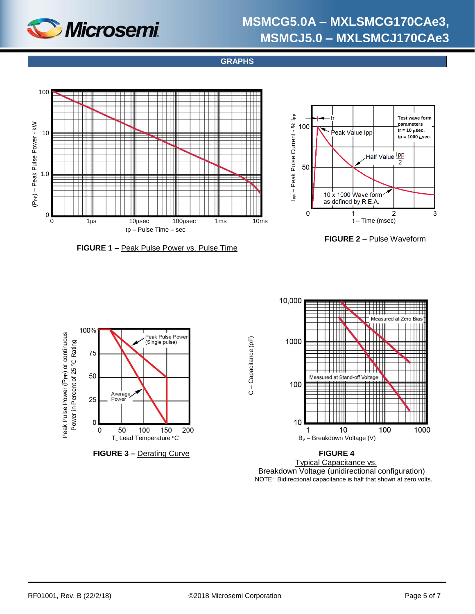

**GRAPHS**

<span id="page-4-0"></span>

C – Capacitance (pF)

C - Capacitance (pF)







**FIGURE 3 –** Derating Curve **FIGURE 4**



 Breakdown Voltage (unidirectional configuration) NOTE: Bidirectional capacitance is half that shown at zero volts.

3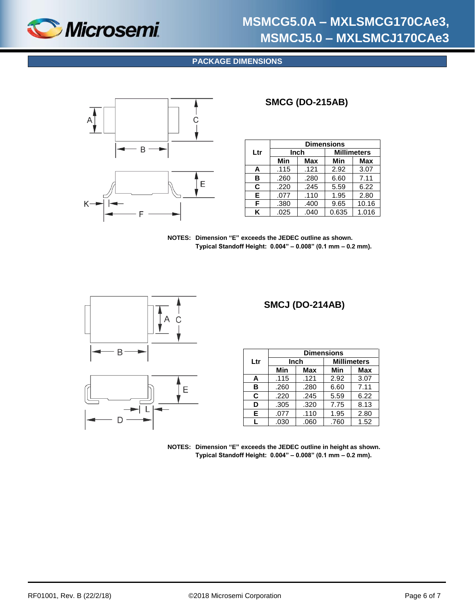<span id="page-5-0"></span>

### **PACKAGE DIMENSIONS**



### **SMCG (DO-215AB)**

|     | <b>Dimensions</b> |      |       |                    |
|-----|-------------------|------|-------|--------------------|
| Ltr | Inch              |      |       | <b>Millimeters</b> |
|     | Min               | Max  | Min   | <b>Max</b>         |
| A   | .115              | .121 | 2.92  | 3.07               |
| в   | .260              | .280 | 6.60  | 7.11               |
| C   | .220              | .245 | 5.59  | 6.22               |
| E.  | .077              | .110 | 1.95  | 2.80               |
| F   | .380              | .400 | 9.65  | 10.16              |
| ĸ   | .025              | .040 | 0.635 | 1.016              |

**NOTES: Dimension "E" exceeds the JEDEC outline as shown. Typical Standoff Height: 0.004" – 0.008" (0.1 mm – 0.2 mm).**





### **SMCJ (DO-214AB)**

|     | <b>Dimensions</b> |      |                    |            |  |
|-----|-------------------|------|--------------------|------------|--|
| Ltr | Inch              |      | <b>Millimeters</b> |            |  |
|     | Min               | Max  | Min                | <b>Max</b> |  |
| A   | .115              | .121 | 2.92               | 3.07       |  |
| в   | .260              | .280 | 6.60               | 7.11       |  |
| C   | .220              | .245 | 5.59               | 6.22       |  |
| D   | .305              | .320 | 7.75               | 8.13       |  |
| Е   | .077              | .110 | 1.95               | 2.80       |  |
|     | .030              | .060 | .760               | 1.52       |  |

**NOTES: Dimension "E" exceeds the JEDEC outline in height as shown. Typical Standoff Height: 0.004" – 0.008" (0.1 mm – 0.2 mm).**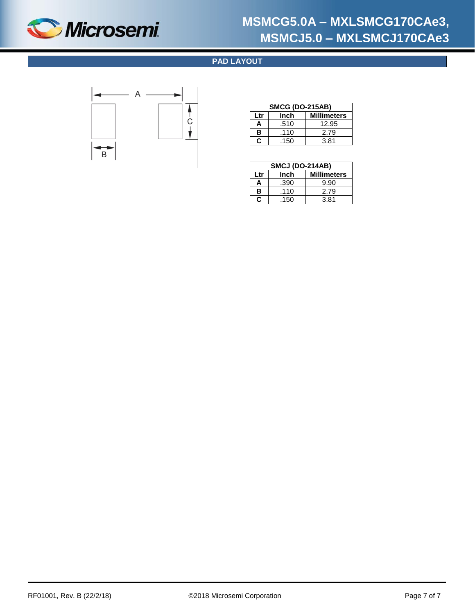<span id="page-6-0"></span>

### **PAD LAYOUT**



| <b>SMCG (DO-215AB)</b>            |      |       |  |
|-----------------------------------|------|-------|--|
| <b>Millimeters</b><br>Inch<br>Ltr |      |       |  |
| А                                 | .510 | 12.95 |  |
| в                                 | .110 | 2.79  |  |
| С                                 | .150 | 3.81  |  |

|                                   | <b>SMCJ (DO-214AB)</b> |      |  |  |  |
|-----------------------------------|------------------------|------|--|--|--|
| <b>Millimeters</b><br>Inch<br>Ltr |                        |      |  |  |  |
| Α                                 | .390                   | 9.90 |  |  |  |
| в                                 | .110                   | 2.79 |  |  |  |
| C                                 | .150                   | 3.81 |  |  |  |